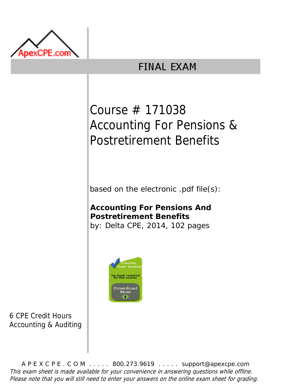

## **FINAL EXAM**

## Course # 171038 Accounting For Pensions & Postretirement Benefits

based on the electronic .pdf file(s):

**Accounting For Pensions And Postretirement Benefits** by: Delta CPE, 2014, 102 pages



6 CPE Credit Hours Accounting & Auditing

A P E X C P E . C O M . . . . . 800.273.9619 . . . . . support@apexcpe.com This exam sheet is made available for your convenience in answering questions while offline. Please note that you will still need to enter your answers on the online exam sheet for grading.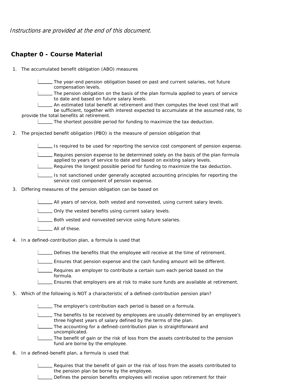Instructions are provided at the end of this document.

## **Chapter 0 - Course Material**

1. The accumulated benefit obligation (ABO) measures

The year-end pension obligation based on past and current salaries, not future compensation levels.

The pension obligation on the basis of the plan formula applied to years of service to date and based on future salary levels.

An estimated total benefit at retirement and then computes the level cost that will be sufficient, together with interest expected to accumulate at the assumed rate, to provide the total benefits at retirement.

The shortest possible period for funding to maximize the tax deduction.

2. The projected benefit obligation (PBO) is the measure of pension obligation that

Is required to be used for reporting the service cost component of pension expense.

Requires pension expense to be determined solely on the basis of the plan formula applied to years of service to date and based on existing salary levels.

Requires the longest possible period for funding to maximize the tax deduction.

Is not sanctioned under generally accepted accounting principles for reporting the service cost component of pension expense.

3. Differing measures of the pension obligation can be based on

All years of service, both vested and nonvested, using current salary levels.

- **LETT** Only the vested benefits using current salary levels.
- **LETTE:** Both vested and nonvested service using future salaries.
- All of these.
- 4. In a defined-contribution plan, a formula is used that

Defines the benefits that the employee will receive at the time of retirement.

Ensures that pension expense and the cash funding amount will be different.

Requires an employer to contribute a certain sum each period based on the formula.

Ensures that employers are at risk to make sure funds are available at retirement.

5. Which of the following is NOT a characteristic of a defined-contribution pension plan?

The employer's contribution each period is based on a formula.

The benefits to be received by employees are usually determined by an employee's three highest years of salary defined by the terms of the plan.

The accounting for a defined-contribution plan is straightforward and uncomplicated.

- The benefit of gain or the risk of loss from the assets contributed to the pension fund are borne by the employee.
- 6. In a defined-benefit plan, a formula is used that

Requires that the benefit of gain or the risk of loss from the assets contributed to the pension plan be borne by the employee.

Defines the pension benefits employees will receive upon retirement for their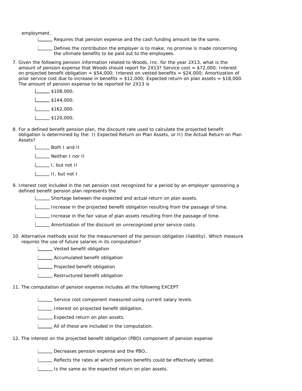employment.

- Requires that pension expense and the cash funding amount be the same.
- Defines the contribution the employer is to make; no promise is made concerning the ultimate benefits to be paid out to the employees.
- 7. Given the following pension information related to Woods, Inc. for the year 2X13, what is the amount of pension expense that Woods should report for  $2X13$ ? Service cost = \$72,000; Interest on projected benefit obligation =  $$54,000$ ; Interest on vested benefits =  $$24,000$ ; Amortization of prior service cost due to increase in benefits =  $$12,000$ ; Expected return on plan assets =  $$18,000$ . The amount of pension expense to be reported for 2X13 is

 $\_$ \$108,000.  $\frac{1}{1}$  \$144,000.  $\frac{1}{1}$ \$162,000.  $1 \_\_\_\$ \$120,000.

8. For a defined benefit pension plan, the discount rate used to calculate the projected benefit obligation is determined by the: I) Expected Return on Plan Assets, or II) the Actual Return on Plan Assets?

**L** Both I and II

Neither I nor II

I, but not II

II, but not I

9. Interest cost included in the net pension cost recognized for a period by an employer sponsoring a defined benefit pension plan represents the

Shortage between the expected and actual return on plan assets.

Increase in the projected benefit obligation resulting from the passage of time.

Increase in the fair value of plan assets resulting from the passage of time.

**LETT** Amortization of the discount on unrecognized prior service costs.

10. Alternative methods exist for the measurement of the pension obligation (liability). Which measure requires the use of future salaries in its computation?

**Wested benefit obligation** 

**LECTE** Accumulated benefit obligation

**LETT** Projected benefit obligation

- **LETT** Restructured benefit obligation
- 11. The computation of pension expense includes all the following EXCEPT
	- Service cost component measured using current salary levels.
	- Interest on projected benefit obligation.
	- **L\_\_\_\_\_** Expected return on plan assets.
	- **LETTE** All of these are included in the computation.
- 12. The interest on the projected benefit obligation (PBO) component of pension expense

Decreases pension expense and the PBO..

**LETT** Reflects the rates at which pension benefits could be effectively settled.

Is the same as the expected return on plan assets.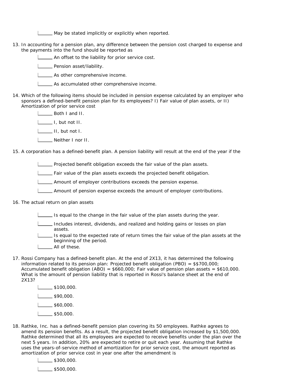May be stated implicitly or explicitly when reported.

13. In accounting for a pension plan, any difference between the pension cost charged to expense and the payments into the fund should be reported as

An offset to the liability for prior service cost.

**LETT** Pension asset/liability.

As other comprehensive income.

As accumulated other comprehensive income.

14. Which of the following items should be included in pension expense calculated by an employer who sponsors a defined-benefit pension plan for its employees? I) Fair value of plan assets, or II) Amortization of prior service cost

Both I and II.

I, but not II.

II, but not I.

Neither I nor II.

15. A corporation has a defined-benefit plan. A pension liability will result at the end of the year if the

**Projected benefit obligation exceeds the fair value of the plan assets.** 

Fair value of the plan assets exceeds the projected benefit obligation.

Amount of employer contributions exceeds the pension expense.

- Amount of pension expense exceeds the amount of employer contributions.
- 16. The actual return on plan assets

 $\Box$  Is equal to the change in the fair value of the plan assets during the year.

Includes interest, dividends, and realized and holding gains or losses on plan assets.

Is equal to the expected rate of return times the fair value of the plan assets at the beginning of the period.

- L\_\_\_\_\_ All of these.
- 17. Rossi Company has a defined-benefit plan. At the end of 2X13, it has determined the following information related to its pension plan: Projected benefit obligation (PBO) =  $$$700,000$ ; Accumulated benefit obligation (ABO) =  $$660,000$ ; Fair value of pension plan assets =  $$610,000$ . What is the amount of pension liability that is reported in Rossi's balance sheet at the end of 2X13?

 $\frac{1}{1}$ \$100,000.  $\frac{1}{1}$ \$90,000.  $\frac{1}{1}$ \$60,000.  $L_{2}$ \$50,000.

18. Rathke, Inc. has a defined-benefit pension plan covering its 50 employees. Rathke agrees to amend its pension benefits. As a result, the projected benefit obligation increased by \$1,500,000. Rathke determined that all its employees are expected to receive benefits under the plan over the next 5 years. In addition, 20% are expected to retire or quit each year. Assuming that Rathke uses the years-of-service method of amortization for prior service cost, the amount reported as amortization of prior service cost in year one after the amendment is

 $\frac{1}{300,000}$ .

 $1$  \_\_\_\_\_ \$500,000.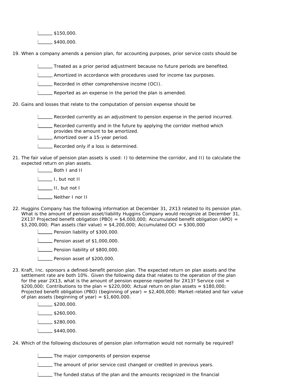$\frac{1}{1}$ \$150,000.

 $1$  \_\_\_\_\_\_ \$400,000.

19. When a company amends a pension plan, for accounting purposes, prior service costs should be

Treated as a prior period adjustment because no future periods are benefited.

**Amortized in accordance with procedures used for income tax purposes.** 

Recorded in other comprehensive income (OCI).

Reported as an expense in the period the plan is amended.

20. Gains and losses that relate to the computation of pension expense should be

Recorded currently as an adjustment to pension expense in the period incurred.

**Recorded currently and in the future by applying the corridor method which** provides the amount to be amortized.

**LETT** Amortized over a 15-year period.

- **L\_\_\_ Recorded only if a loss is determined.**
- 21. The fair value of pension plan assets is used: I) to determine the corridor, and II) to calculate the expected return on plan assets.

**L** Both I and II

I, but not II

II, but not I

- L<sub>L</sub> Neither I nor II
- 22. Huggins Company has the following information at December 31, 2X13 related to its pension plan. What is the amount of pension asset/liability Huggins Company would recognize at December 31, 2X13? Projected benefit obligation (PBO) =  $$4,000,000$ ; Accumulated benefit obligation (APO) = \$3,200,000; Plan assets (fair value) = \$4,200,000; Accumulated OCI = \$300,000

**Pension liability of \$300,000.** 

**L** Pension asset of \$1,000,000.

**LETT** Pension liability of \$800,000.

**Pension asset of \$200,000.** 

23. Kraft, Inc. sponsors a defined-benefit pension plan. The expected return on plan assets and the settlement rate are both 10%. Given the following data that relates to the operation of the plan for the year 2X13, what is the amount of pension expense reported for 2X13? Service cost  $=$  $$200,000$ ; Contributions to the plan =  $$220,000$ ; Actual return on plan assets =  $$180,000$ ; Projected benefit obligation (PBO) (beginning of year) = \$2,400,000; Market-related and fair value of plan assets (beginning of year) = \$1,600,000.

 $\frac{1}{2}$ \$200,000.

 $L_{2}$ \$260,000.

 $1 - $280,000$ .

 $\frac{1}{8440,000}$ .

24. Which of the following disclosures of pension plan information would not normally be required?

**The major components of pension expense** 

The amount of prior service cost changed or credited in previous years.

The funded status of the plan and the amounts recognized in the financial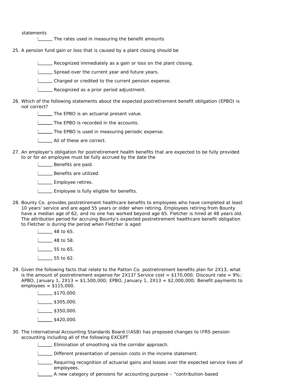statements

**The rates used in measuring the benefit amounts** 

- 25. A pension fund gain or loss that is caused by a plant closing should be
	- Recognized immediately as a gain or loss on the plant closing.
	- Spread over the current year and future years.
	- Charged or credited to the current pension expense.
	- **LECOGNET AS A PROMAGE AS A PROMAGE ADDED** Recognized as a prior period adjustment.
- 26. Which of the following statements about the expected postretirement benefit obligation (EPBO) is not correct?
	- **The EPBO is an actuarial present value.**
	- I \_ The EPBO is recorded in the accounts.
	- The EPBO is used in measuring periodic expense.
	- **L\_\_\_\_** All of these are correct.
- 27. An employer's obligation for postretirement health benefits that are expected to be fully provided to or for an employee must be fully accrued by the date the
	- **Benefits are paid.**

**LETT** Benefits are utilized.

- L\_\_\_\_\_ Employee retires.
- **LEMPLOYEE IS fully eligible for benefits.**
- 28. Bounty Co. provides postretirement healthcare benefits to employees who have completed at least 10 years' service and are aged 55 years or older when retiring. Employees retiring from Bounty have a median age of 62, and no one has worked beyond age 65. Fletcher is hired at 48 years old. The attribution period for accruing Bounty's expected postretirement healthcare benefit obligation to Fletcher is during the period when Fletcher is aged
	- $\frac{1}{48}$  to 65.  $\frac{1}{48}$  to 58.  $1 \_ 55$  to 65.  $\frac{1}{55}$  to 62.
- 29. Given the following facts that relate to the Patton Co. postretirement benefits plan for 2X13, what is the amount of postretirement expense for 2X13? Service cost = \$170,000; Discount rate =  $9\%$ ; APBO, January 1, 2X13 =  $$1,500,000$ ; EPBO, January 1, 2X13 =  $$2,000,000$ ; Benefit payments to employees = \$115,000.
	- $\frac{1}{1}$ \$170,000.  $L_{2}$ \$305,000.  $\frac{1}{3350,000}$ .  $\frac{1}{1}$  \$420,000.
- 30. The International Accounting Standards Board (IASB) has proposed changes to IFRS pension accounting including all of the following EXCEPT
	- **Elimination of smoothing via the corridor approach.**
	- Different presentation of pension costs in the income statement.
	- Requiring recognition of actuarial gains and losses over the expected service lives of employees.
	- A new category of pensions for accounting purpose "contribution-based